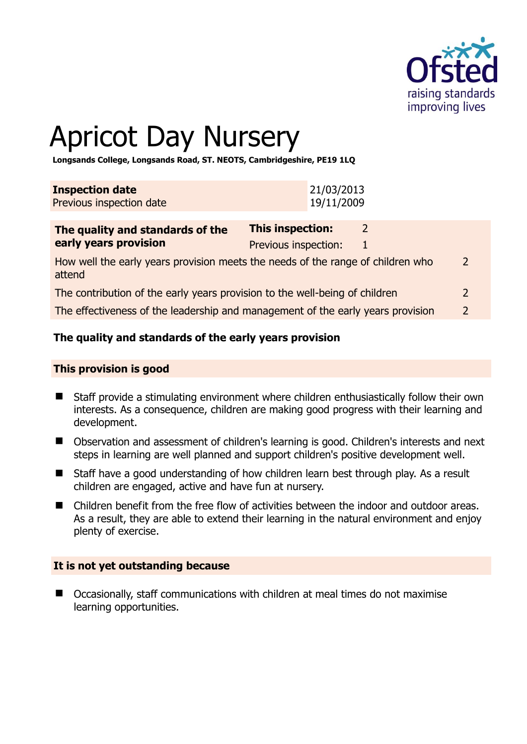

# Apricot Day Nursery

**Longsands College, Longsands Road, ST. NEOTS, Cambridgeshire, PE19 1LQ** 

| <b>Inspection date</b>          | 21/03/2013 |
|---------------------------------|------------|
| <b>Previous inspection date</b> | 19/11/2009 |

| The quality and standards of the                                                          | This inspection:     |  |               |
|-------------------------------------------------------------------------------------------|----------------------|--|---------------|
| early years provision                                                                     | Previous inspection: |  |               |
| How well the early years provision meets the needs of the range of children who<br>attend |                      |  | 2             |
| The contribution of the early years provision to the well-being of children               |                      |  |               |
| The effectiveness of the leadership and management of the early years provision           |                      |  | $\mathcal{L}$ |
|                                                                                           |                      |  |               |

# **The quality and standards of the early years provision**

#### **This provision is good**

- Staff provide a stimulating environment where children enthusiastically follow their own interests. As a consequence, children are making good progress with their learning and development.
- Observation and assessment of children's learning is good. Children's interests and next steps in learning are well planned and support children's positive development well.
- Staff have a good understanding of how children learn best through play. As a result children are engaged, active and have fun at nursery.
- Children benefit from the free flow of activities between the indoor and outdoor areas. As a result, they are able to extend their learning in the natural environment and enjoy plenty of exercise.

#### **It is not yet outstanding because**

■ Occasionally, staff communications with children at meal times do not maximise learning opportunities.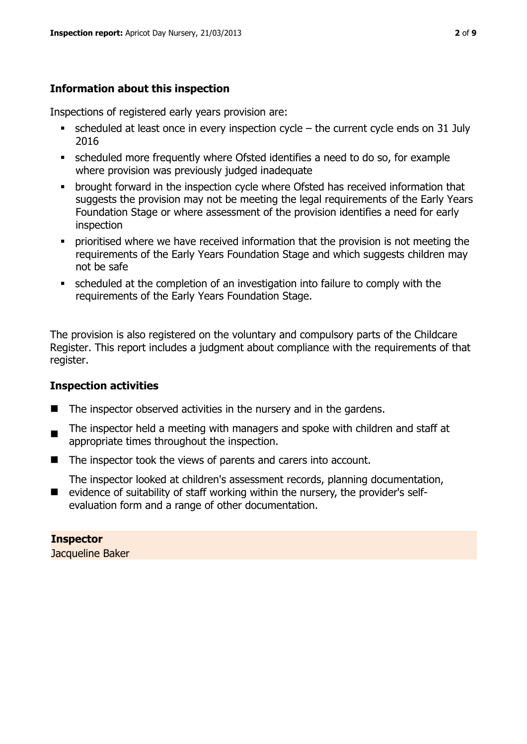# **Information about this inspection**

Inspections of registered early years provision are:

- $\bullet$  scheduled at least once in every inspection cycle the current cycle ends on 31 July 2016
- scheduled more frequently where Ofsted identifies a need to do so, for example where provision was previously judged inadequate
- **•** brought forward in the inspection cycle where Ofsted has received information that suggests the provision may not be meeting the legal requirements of the Early Years Foundation Stage or where assessment of the provision identifies a need for early inspection
- **•** prioritised where we have received information that the provision is not meeting the requirements of the Early Years Foundation Stage and which suggests children may not be safe
- scheduled at the completion of an investigation into failure to comply with the requirements of the Early Years Foundation Stage.

The provision is also registered on the voluntary and compulsory parts of the Childcare Register. This report includes a judgment about compliance with the requirements of that register.

# **Inspection activities**

- $\blacksquare$  The inspector observed activities in the nursery and in the gardens.
- $\blacksquare$ The inspector held a meeting with managers and spoke with children and staff at appropriate times throughout the inspection.
- The inspector took the views of parents and carers into account.
- **E** evidence of suitability of staff working within the nursery, the provider's self-The inspector looked at children's assessment records, planning documentation, evaluation form and a range of other documentation.

#### **Inspector**

Jacqueline Baker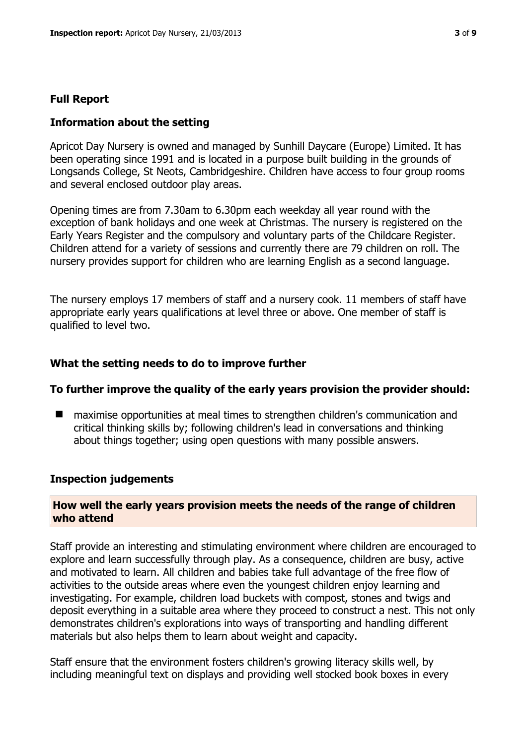#### **Full Report**

#### **Information about the setting**

Apricot Day Nursery is owned and managed by Sunhill Daycare (Europe) Limited. It has been operating since 1991 and is located in a purpose built building in the grounds of Longsands College, St Neots, Cambridgeshire. Children have access to four group rooms and several enclosed outdoor play areas.

Opening times are from 7.30am to 6.30pm each weekday all year round with the exception of bank holidays and one week at Christmas. The nursery is registered on the Early Years Register and the compulsory and voluntary parts of the Childcare Register. Children attend for a variety of sessions and currently there are 79 children on roll. The nursery provides support for children who are learning English as a second language.

The nursery employs 17 members of staff and a nursery cook. 11 members of staff have appropriate early years qualifications at level three or above. One member of staff is qualified to level two.

#### **What the setting needs to do to improve further**

#### **To further improve the quality of the early years provision the provider should:**

■ maximise opportunities at meal times to strengthen children's communication and critical thinking skills by; following children's lead in conversations and thinking about things together; using open questions with many possible answers.

#### **Inspection judgements**

#### **How well the early years provision meets the needs of the range of children who attend**

Staff provide an interesting and stimulating environment where children are encouraged to explore and learn successfully through play. As a consequence, children are busy, active and motivated to learn. All children and babies take full advantage of the free flow of activities to the outside areas where even the youngest children enjoy learning and investigating. For example, children load buckets with compost, stones and twigs and deposit everything in a suitable area where they proceed to construct a nest. This not only demonstrates children's explorations into ways of transporting and handling different materials but also helps them to learn about weight and capacity.

Staff ensure that the environment fosters children's growing literacy skills well, by including meaningful text on displays and providing well stocked book boxes in every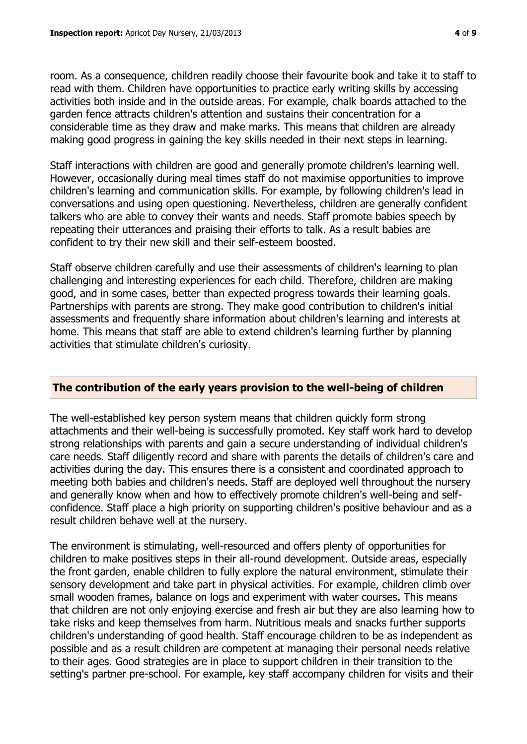room. As a consequence, children readily choose their favourite book and take it to staff to read with them. Children have opportunities to practice early writing skills by accessing activities both inside and in the outside areas. For example, chalk boards attached to the garden fence attracts children's attention and sustains their concentration for a considerable time as they draw and make marks. This means that children are already making good progress in gaining the key skills needed in their next steps in learning.

Staff interactions with children are good and generally promote children's learning well. However, occasionally during meal times staff do not maximise opportunities to improve children's learning and communication skills. For example, by following children's lead in conversations and using open questioning. Nevertheless, children are generally confident talkers who are able to convey their wants and needs. Staff promote babies speech by repeating their utterances and praising their efforts to talk. As a result babies are confident to try their new skill and their self-esteem boosted.

Staff observe children carefully and use their assessments of children's learning to plan challenging and interesting experiences for each child. Therefore, children are making good, and in some cases, better than expected progress towards their learning goals. Partnerships with parents are strong. They make good contribution to children's initial assessments and frequently share information about children's learning and interests at home. This means that staff are able to extend children's learning further by planning activities that stimulate children's curiosity.

# **The contribution of the early years provision to the well-being of children**

The well-established key person system means that children quickly form strong attachments and their well-being is successfully promoted. Key staff work hard to develop strong relationships with parents and gain a secure understanding of individual children's care needs. Staff diligently record and share with parents the details of children's care and activities during the day. This ensures there is a consistent and coordinated approach to meeting both babies and children's needs. Staff are deployed well throughout the nursery and generally know when and how to effectively promote children's well-being and selfconfidence. Staff place a high priority on supporting children's positive behaviour and as a result children behave well at the nursery.

The environment is stimulating, well-resourced and offers plenty of opportunities for children to make positives steps in their all-round development. Outside areas, especially the front garden, enable children to fully explore the natural environment, stimulate their sensory development and take part in physical activities. For example, children climb over small wooden frames, balance on logs and experiment with water courses. This means that children are not only enjoying exercise and fresh air but they are also learning how to take risks and keep themselves from harm. Nutritious meals and snacks further supports children's understanding of good health. Staff encourage children to be as independent as possible and as a result children are competent at managing their personal needs relative to their ages. Good strategies are in place to support children in their transition to the setting's partner pre-school. For example, key staff accompany children for visits and their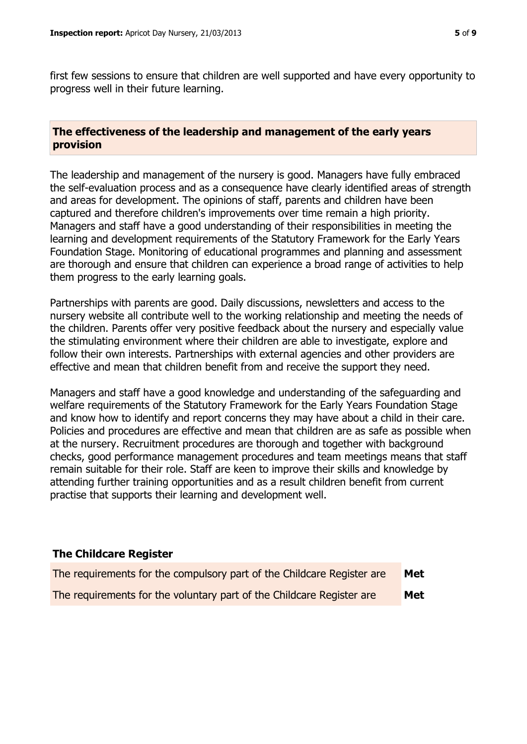first few sessions to ensure that children are well supported and have every opportunity to progress well in their future learning.

### **The effectiveness of the leadership and management of the early years provision**

The leadership and management of the nursery is good. Managers have fully embraced the self-evaluation process and as a consequence have clearly identified areas of strength and areas for development. The opinions of staff, parents and children have been captured and therefore children's improvements over time remain a high priority. Managers and staff have a good understanding of their responsibilities in meeting the learning and development requirements of the Statutory Framework for the Early Years Foundation Stage. Monitoring of educational programmes and planning and assessment are thorough and ensure that children can experience a broad range of activities to help them progress to the early learning goals.

Partnerships with parents are good. Daily discussions, newsletters and access to the nursery website all contribute well to the working relationship and meeting the needs of the children. Parents offer very positive feedback about the nursery and especially value the stimulating environment where their children are able to investigate, explore and follow their own interests. Partnerships with external agencies and other providers are effective and mean that children benefit from and receive the support they need.

Managers and staff have a good knowledge and understanding of the safeguarding and welfare requirements of the Statutory Framework for the Early Years Foundation Stage and know how to identify and report concerns they may have about a child in their care. Policies and procedures are effective and mean that children are as safe as possible when at the nursery. Recruitment procedures are thorough and together with background checks, good performance management procedures and team meetings means that staff remain suitable for their role. Staff are keen to improve their skills and knowledge by attending further training opportunities and as a result children benefit from current practise that supports their learning and development well.

#### **The Childcare Register**

| The requirements for the compulsory part of the Childcare Register are | Met |
|------------------------------------------------------------------------|-----|
| The requirements for the voluntary part of the Childcare Register are  | Met |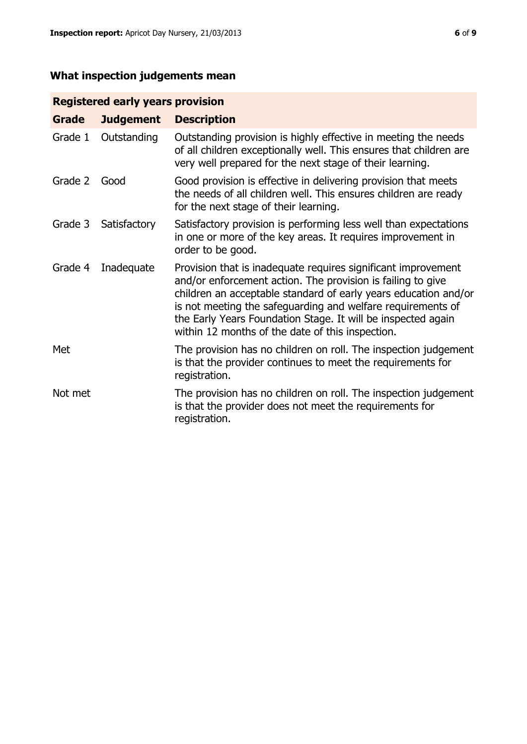# **What inspection judgements mean**

# **Registered early years provision**

| <b>Grade</b> | <b>Judgement</b> | <b>Description</b>                                                                                                                                                                                                                                                                                                                                                                 |
|--------------|------------------|------------------------------------------------------------------------------------------------------------------------------------------------------------------------------------------------------------------------------------------------------------------------------------------------------------------------------------------------------------------------------------|
| Grade 1      | Outstanding      | Outstanding provision is highly effective in meeting the needs<br>of all children exceptionally well. This ensures that children are<br>very well prepared for the next stage of their learning.                                                                                                                                                                                   |
| Grade 2      | Good             | Good provision is effective in delivering provision that meets<br>the needs of all children well. This ensures children are ready<br>for the next stage of their learning.                                                                                                                                                                                                         |
| Grade 3      | Satisfactory     | Satisfactory provision is performing less well than expectations<br>in one or more of the key areas. It requires improvement in<br>order to be good.                                                                                                                                                                                                                               |
| Grade 4      | Inadequate       | Provision that is inadequate requires significant improvement<br>and/or enforcement action. The provision is failing to give<br>children an acceptable standard of early years education and/or<br>is not meeting the safeguarding and welfare requirements of<br>the Early Years Foundation Stage. It will be inspected again<br>within 12 months of the date of this inspection. |
| Met          |                  | The provision has no children on roll. The inspection judgement<br>is that the provider continues to meet the requirements for<br>registration.                                                                                                                                                                                                                                    |
| Not met      |                  | The provision has no children on roll. The inspection judgement<br>is that the provider does not meet the requirements for<br>registration.                                                                                                                                                                                                                                        |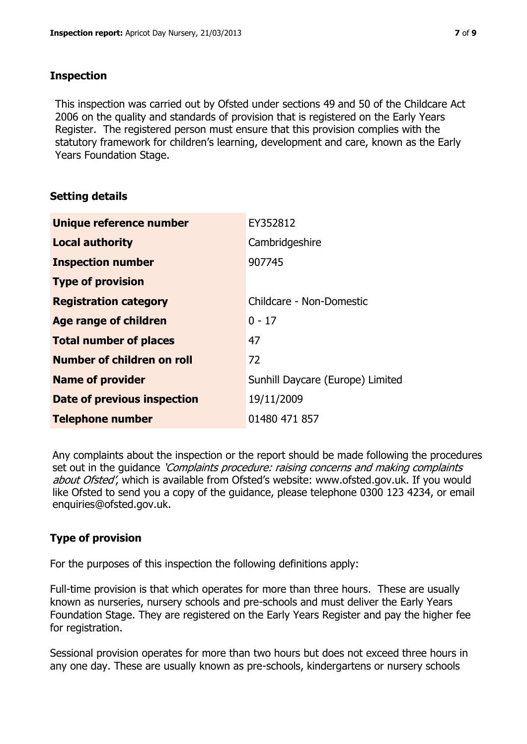## **Inspection**

This inspection was carried out by Ofsted under sections 49 and 50 of the Childcare Act 2006 on the quality and standards of provision that is registered on the Early Years Register. The registered person must ensure that this provision complies with the statutory framework for children's learning, development and care, known as the Early Years Foundation Stage.

# **Setting details**

| Unique reference number       | EY352812                         |
|-------------------------------|----------------------------------|
| <b>Local authority</b>        | Cambridgeshire                   |
| <b>Inspection number</b>      | 907745                           |
| <b>Type of provision</b>      |                                  |
| <b>Registration category</b>  | Childcare - Non-Domestic         |
| Age range of children         | $0 - 17$                         |
| <b>Total number of places</b> | 47                               |
| Number of children on roll    | 72                               |
| <b>Name of provider</b>       | Sunhill Daycare (Europe) Limited |
| Date of previous inspection   | 19/11/2009                       |
| <b>Telephone number</b>       | 01480 471 857                    |

Any complaints about the inspection or the report should be made following the procedures set out in the guidance *'Complaints procedure: raising concerns and making complaints* about Ofsted', which is available from Ofsted's website: www.ofsted.gov.uk. If you would like Ofsted to send you a copy of the guidance, please telephone 0300 123 4234, or email enquiries@ofsted.gov.uk.

# **Type of provision**

For the purposes of this inspection the following definitions apply:

Full-time provision is that which operates for more than three hours. These are usually known as nurseries, nursery schools and pre-schools and must deliver the Early Years Foundation Stage. They are registered on the Early Years Register and pay the higher fee for registration.

Sessional provision operates for more than two hours but does not exceed three hours in any one day. These are usually known as pre-schools, kindergartens or nursery schools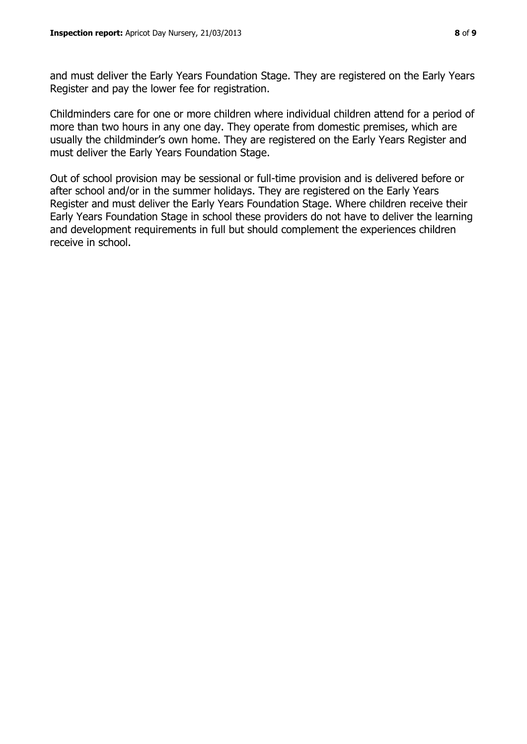and must deliver the Early Years Foundation Stage. They are registered on the Early Years Register and pay the lower fee for registration.

Childminders care for one or more children where individual children attend for a period of more than two hours in any one day. They operate from domestic premises, which are usually the childminder's own home. They are registered on the Early Years Register and must deliver the Early Years Foundation Stage.

Out of school provision may be sessional or full-time provision and is delivered before or after school and/or in the summer holidays. They are registered on the Early Years Register and must deliver the Early Years Foundation Stage. Where children receive their Early Years Foundation Stage in school these providers do not have to deliver the learning and development requirements in full but should complement the experiences children receive in school.